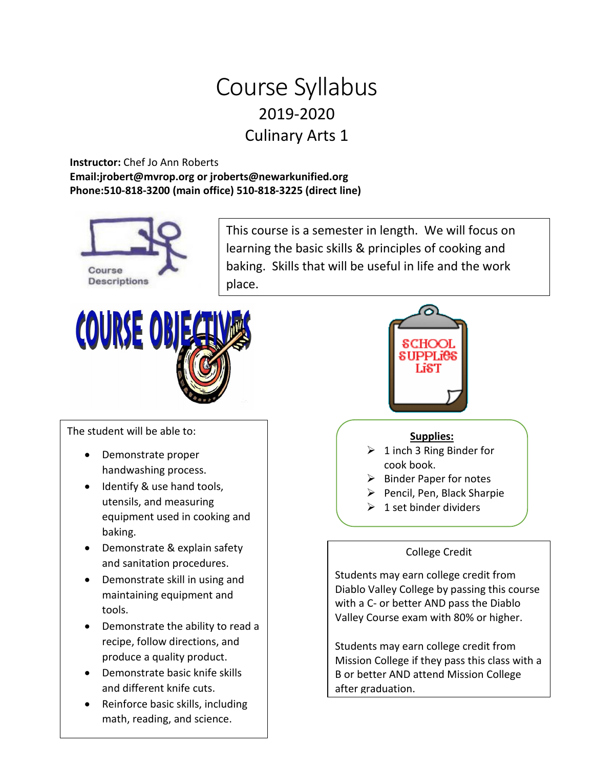# Course Syllabus 2019-2020 Culinary Arts 1

### **Instructor:** Chef Jo Ann Roberts **Email:jrobert@mvrop.org or jroberts@newarkunified.org Phone:510-818-3200 (main office) 510-818-3225 (direct line)**



This course is a semester in length. We will focus on learning the basic skills & principles of cooking and baking. Skills that will be useful in life and the work place.



The student will be able to:

- Demonstrate proper handwashing process.
- Identify & use hand tools, utensils, and measuring equipment used in cooking and baking.
- Demonstrate & explain safety and sanitation procedures.
- Demonstrate skill in using and maintaining equipment and tools.
- Demonstrate the ability to read a recipe, follow directions, and produce a quality product.
- Demonstrate basic knife skills and different knife cuts.
- Reinforce basic skills, including math, reading, and science.



#### **Supplies:**

- $\geq 1$  inch 3 Ring Binder for cook book.
- $\triangleright$  Binder Paper for notes
- $\triangleright$  Pencil, Pen, Black Sharpie
- $\geq 1$  set binder dividers

## College Credit

Students may earn college credit from Diablo Valley College by passing this course with a C- or better AND pass the Diablo Valley Course exam with 80% or higher.

Students may earn college credit from Mission College if they pass this class with a B or better AND attend Mission College after graduation.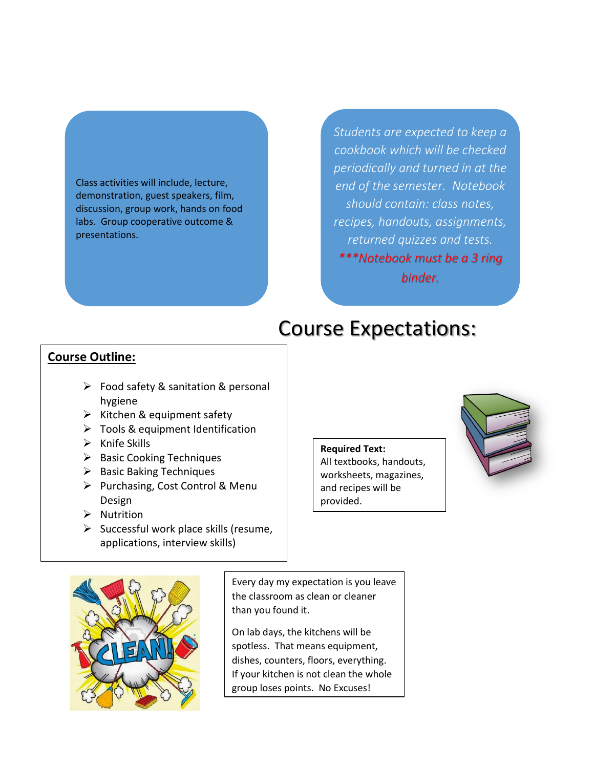#### Class activities will include, lecture, demonstration, guest speakers, film, discussion, group work, hands on food labs. Group cooperative outcome & presentations.

*Students are expected to keep a cookbook which will be checked periodically and turned in at the end of the semester. Notebook should contain: class notes, recipes, handouts, assignments, returned quizzes and tests. \*\*\*Notebook must be a 3 ring binder.*

# Course Expectations:

## **Course Outline:**

- $\triangleright$  Food safety & sanitation & personal hygiene
- $\triangleright$  Kitchen & equipment safety
- $\triangleright$  Tools & equipment Identification
- $\triangleright$  Knife Skills
- $\triangleright$  Basic Cooking Techniques
- $\triangleright$  Basic Baking Techniques
- $\triangleright$  Purchasing, Cost Control & Menu Design
- $\triangleright$  Nutrition
- $\triangleright$  Successful work place skills (resume, applications, interview skills)

#### **Required Text:**

All textbooks, handouts, worksheets, magazines, and recipes will be provided.





Every day my expectation is you leave the classroom as clean or cleaner than you found it.

On lab days, the kitchens will be spotless. That means equipment, dishes, counters, floors, everything. If your kitchen is not clean the whole group loses points. No Excuses!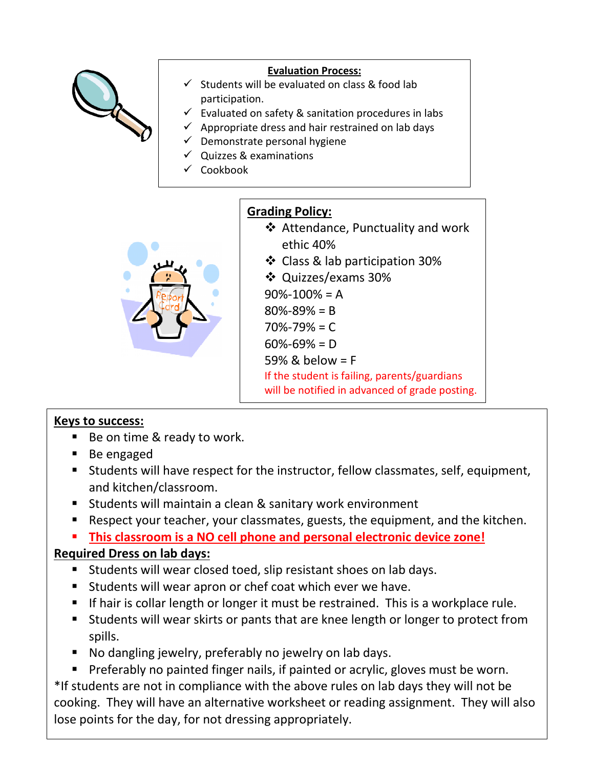

### **Evaluation Process:**

- $\checkmark$  Students will be evaluated on class & food lab participation.
- $\checkmark$  Evaluated on safety & sanitation procedures in labs
- $\checkmark$  Appropriate dress and hair restrained on lab days
- $\checkmark$  Demonstrate personal hygiene
- $\checkmark$  Quizzes & examinations
- $\checkmark$  Cookbook



## **Grading Policy:**

- Attendance, Punctuality and work ethic 40%
- ❖ Class & lab participation 30%
- Quizzes/exams 30%

 $90\% - 100\% = A$ 80%-89% = B

- 70%-79% = C
- 60%-69% = D

59% & below = F

If the student is failing, parents/guardians

will be notified in advanced of grade posting.

## **Keys to success:**

- Be on time & ready to work.
- Be engaged
- Students will have respect for the instructor, fellow classmates, self, equipment, and kitchen/classroom.
- Students will maintain a clean & sanitary work environment
- Respect your teacher, your classmates, guests, the equipment, and the kitchen.
- **This classroom is a NO cell phone and personal electronic device zone!**

## **Required Dress on lab days:**

- Students will wear closed toed, slip resistant shoes on lab days.
- **Students will wear apron or chef coat which ever we have.**
- If hair is collar length or longer it must be restrained. This is a workplace rule.
- Students will wear skirts or pants that are knee length or longer to protect from spills.
- No dangling jewelry, preferably no jewelry on lab days.
- **Preferably no painted finger nails, if painted or acrylic, gloves must be worn.**

\*If students are not in compliance with the above rules on lab days they will not be cooking. They will have an alternative worksheet or reading assignment. They will also lose points for the day, for not dressing appropriately.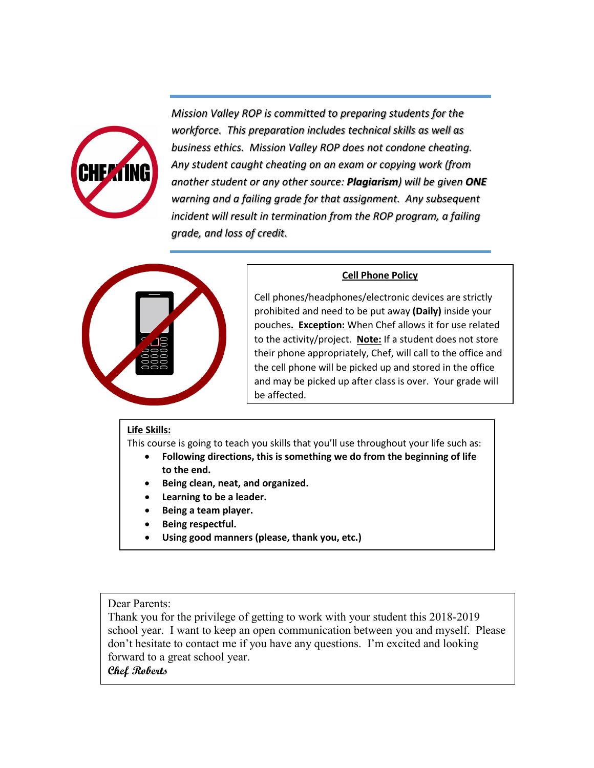

*Mission Valley ROP is committed to preparing students for the workforce. This preparation includes technical skills as well as business ethics. Mission Valley ROP does not condone cheating. Any student caught cheating on an exam or copying work (from another student or any other source: Plagiarism) will be given ONE warning and a failing grade for that assignment. Any subsequent incident will result in termination from the ROP program, a failing grade, and loss of credit.*



#### **Cell Phone Policy**

Cell phones/headphones/electronic devices are strictly prohibited and need to be put away **(Daily)** inside your pouches**. Exception:** When Chef allows it for use related to the activity/project. **Note:** If a student does not store their phone appropriately, Chef, will call to the office and the cell phone will be picked up and stored in the office and may be picked up after class is over. Your grade will be affected.

#### **Life Skills:**

This course is going to teach you skills that you'll use throughout your life such as:

- **Following directions, this is something we do from the beginning of life to the end.**
- **Being clean, neat, and organized.**
- **Learning to be a leader.**
- **Being a team player.**
- **Being respectful.**
- **Using good manners (please, thank you, etc.)**

Dear Parents:

Thank you for the privilege of getting to work with your student this 2018-2019 school year. I want to keep an open communication between you and myself. Please don't hesitate to contact me if you have any questions. I'm excited and looking forward to a great school year.

**Chef Roberts**